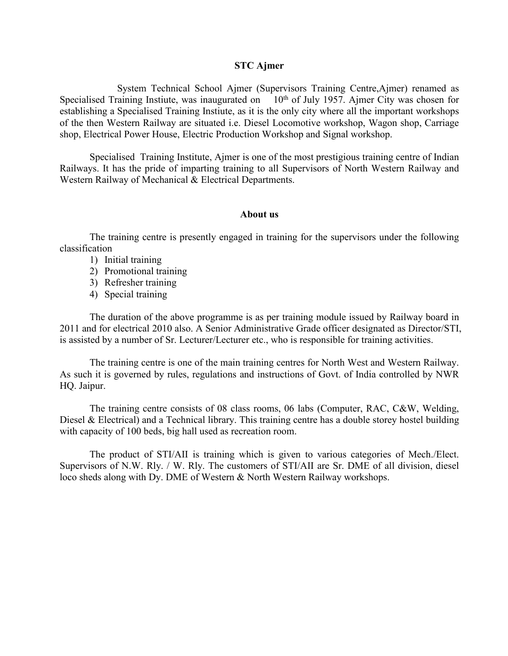#### **STC Ajmer**

System Technical School Ajmer (Supervisors Training Centre,Ajmer) renamed as Specialised Training Instiute, was inaugurated on 10<sup>th</sup> of July 1957. Ajmer City was chosen for establishing a Specialised Training Instiute, as it is the only city where all the important workshops of the then Western Railway are situated i.e. Diesel Locomotive workshop, Wagon shop, Carriage shop, Electrical Power House, Electric Production Workshop and Signal workshop.

Specialised Training Institute, Ajmer is one of the most prestigious training centre of Indian Railways. It has the pride of imparting training to all Supervisors of North Western Railway and Western Railway of Mechanical & Electrical Departments.

#### **About us**

The training centre is presently engaged in training for the supervisors under the following classification

- 1) Initial training
- 2) Promotional training
- 3) Refresher training
- 4) Special training

The duration of the above programme is as per training module issued by Railway board in 2011 and for electrical 2010 also. A Senior Administrative Grade officer designated as Director/STI, is assisted by a number of Sr. Lecturer/Lecturer etc., who is responsible for training activities.

The training centre is one of the main training centres for North West and Western Railway. As such it is governed by rules, regulations and instructions of Govt. of India controlled by NWR HQ. Jaipur.

The training centre consists of 08 class rooms, 06 labs (Computer, RAC, C&W, Welding, Diesel & Electrical) and a Technical library. This training centre has a double storey hostel building with capacity of 100 beds, big hall used as recreation room.

The product of STI/AII is training which is given to various categories of Mech./Elect. Supervisors of N.W. Rly. / W. Rly. The customers of STI/AII are Sr. DME of all division, diesel loco sheds along with Dy. DME of Western & North Western Railway workshops.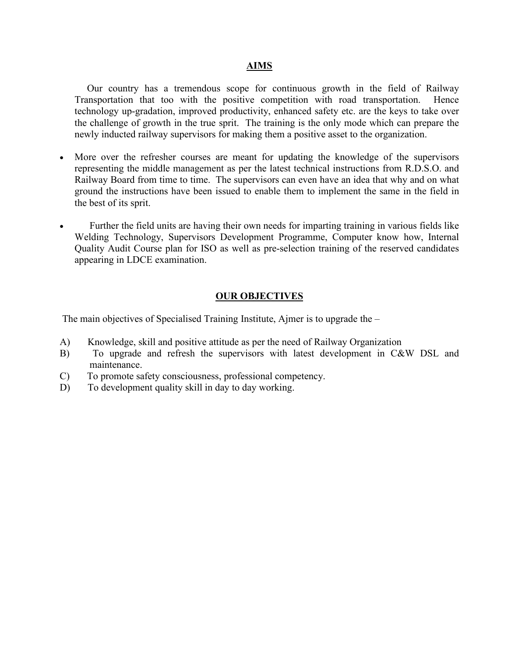#### **AIMS**

Our country has a tremendous scope for continuous growth in the field of Railway Transportation that too with the positive competition with road transportation. Hence technology up-gradation, improved productivity, enhanced safety etc. are the keys to take over the challenge of growth in the true sprit. The training is the only mode which can prepare the newly inducted railway supervisors for making them a positive asset to the organization.

- More over the refresher courses are meant for updating the knowledge of the supervisors representing the middle management as per the latest technical instructions from R.D.S.O. and Railway Board from time to time. The supervisors can even have an idea that why and on what ground the instructions have been issued to enable them to implement the same in the field in the best of its sprit.
- Further the field units are having their own needs for imparting training in various fields like Welding Technology, Supervisors Development Programme, Computer know how, Internal Quality Audit Course plan for ISO as well as pre-selection training of the reserved candidates appearing in LDCE examination.

#### **OUR OBJECTIVES**

The main objectives of Specialised Training Institute, Ajmer is to upgrade the  $-$ 

- A) Knowledge, skill and positive attitude as per the need of Railway Organization
- B) To upgrade and refresh the supervisors with latest development in C&W DSL and maintenance.
- C) To promote safety consciousness, professional competency.
- D) To development quality skill in day to day working.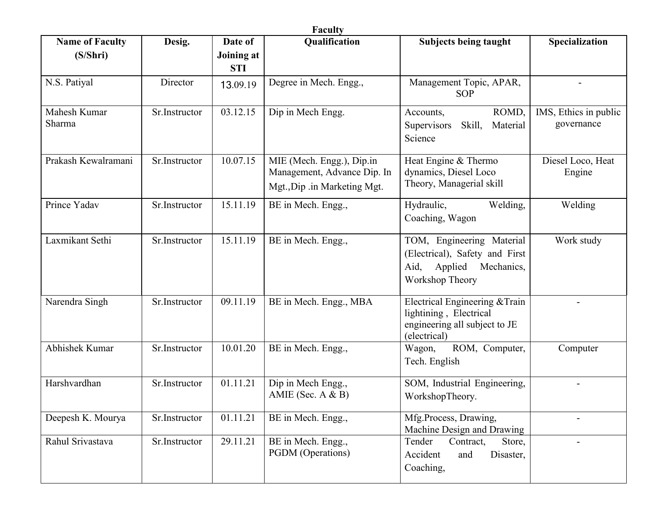| <b>Name of Faculty</b> | Desig.        | Date of                  | Qualification                                                                            | <b>Subjects being taught</b>                                                                                 | Specialization                      |
|------------------------|---------------|--------------------------|------------------------------------------------------------------------------------------|--------------------------------------------------------------------------------------------------------------|-------------------------------------|
| (S/Shri)               |               | Joining at<br><b>STI</b> |                                                                                          |                                                                                                              |                                     |
| N.S. Patiyal           | Director      | 13.09.19                 | Degree in Mech. Engg.,                                                                   | Management Topic, APAR,<br><b>SOP</b>                                                                        |                                     |
| Mahesh Kumar<br>Sharma | Sr.Instructor | 03.12.15                 | Dip in Mech Engg.                                                                        | ROMD,<br>Accounts,<br>Supervisors<br>Skill,<br>Material<br>Science                                           | IMS, Ethics in public<br>governance |
| Prakash Kewalramani    | Sr.Instructor | 10.07.15                 | MIE (Mech. Engg.), Dip.in<br>Management, Advance Dip. In<br>Mgt., Dip .in Marketing Mgt. | Heat Engine & Thermo<br>dynamics, Diesel Loco<br>Theory, Managerial skill                                    | Diesel Loco, Heat<br>Engine         |
| Prince Yadav           | Sr.Instructor | 15.11.19                 | BE in Mech. Engg.,                                                                       | Welding,<br>Hydraulic,<br>Coaching, Wagon                                                                    | Welding                             |
| Laxmikant Sethi        | Sr.Instructor | 15.11.19                 | BE in Mech. Engg.,                                                                       | TOM, Engineering Material<br>(Electrical), Safety and First<br>Aid, Applied<br>Mechanics,<br>Workshop Theory | Work study                          |
| Narendra Singh         | Sr.Instructor | 09.11.19                 | BE in Mech. Engg., MBA                                                                   | Electrical Engineering & Train<br>lightining, Electrical<br>engineering all subject to JE<br>(electrical)    |                                     |
| Abhishek Kumar         | Sr.Instructor | 10.01.20                 | BE in Mech. Engg.,                                                                       | ROM, Computer,<br>Wagon,<br>Tech. English                                                                    | Computer                            |
| Harshvardhan           | Sr.Instructor | 01.11.21                 | Dip in Mech Engg.,<br>AMIE (Sec. $A & B$ )                                               | SOM, Industrial Engineering,<br>WorkshopTheory.                                                              |                                     |
| Deepesh K. Mourya      | Sr.Instructor | 01.11.21                 | BE in Mech. Engg.,                                                                       | Mfg.Process, Drawing,<br>Machine Design and Drawing                                                          |                                     |
| Rahul Srivastava       | Sr.Instructor | 29.11.21                 | BE in Mech. Engg.,<br>PGDM (Operations)                                                  | Tender<br>Contract,<br>Store,<br>Disaster,<br>Accident<br>and<br>Coaching,                                   |                                     |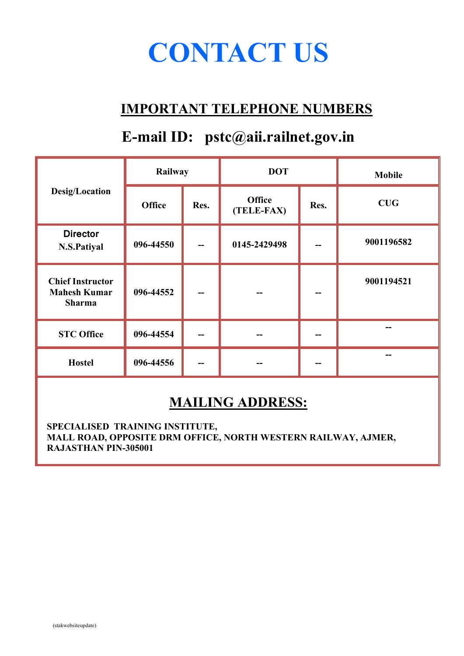# **CONTACT US**

# **IMPORTANT TELEPHONE NUMBERS**

# **E-mail ID: pstc@aii.railnet.gov.in**

|                                                                 | Railway                                                      |    | <b>DOT</b>   |  | <b>Mobile</b> |
|-----------------------------------------------------------------|--------------------------------------------------------------|----|--------------|--|---------------|
| Desig/Location                                                  | <b>Office</b><br><b>Office</b><br>Res.<br>Res.<br>(TELE-FAX) |    | CUG          |  |               |
| <b>Director</b><br>N.S.Patiyal                                  | 096-44550                                                    | -- | 0145-2429498 |  | 9001196582    |
| <b>Chief Instructor</b><br><b>Mahesh Kumar</b><br><b>Sharma</b> | 096-44552                                                    | -- |              |  | 9001194521    |
| <b>STC Office</b>                                               | 096-44554                                                    | -- |              |  | --            |
| <b>Hostel</b>                                                   | 096-44556                                                    | -- |              |  | --            |

# **MAILING ADDRESS:**

**SPECIALISED TRAINING INSTITUTE, MALL ROAD, OPPOSITE DRM OFFICE, NORTH WESTERN RAILWAY, AJMER, RAJASTHAN PIN-305001**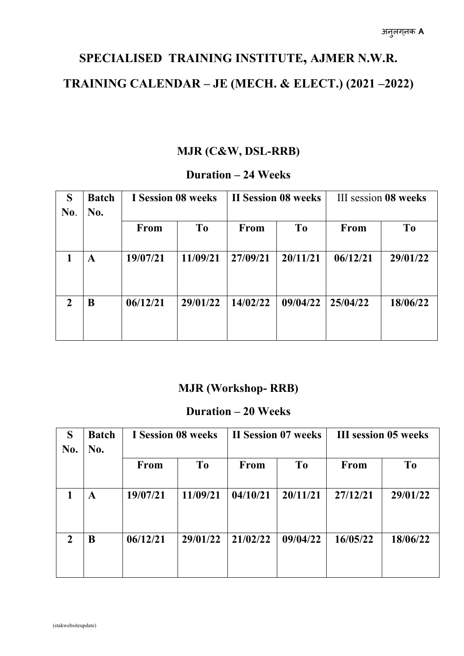# **SPECIALISED TRAINING INSTITUTE, AJMER N.W.R. TRAINING CALENDAR – JE (MECH. & ELECT.) (2021 –2022)**

#### **MJR (C&W, DSL-RRB)**

#### **Duration – 24 Weeks**

| S<br>No. | <b>I Session 08 weeks</b><br><b>Batch</b><br>No. |          |                |             | <b>II Session 08 weeks</b> | III session 08 weeks |                |  |
|----------|--------------------------------------------------|----------|----------------|-------------|----------------------------|----------------------|----------------|--|
|          |                                                  | From     | T <sub>0</sub> | <b>From</b> | T <sub>0</sub>             | From                 | T <sub>0</sub> |  |
|          | A                                                | 19/07/21 | 11/09/21       | 27/09/21    | 20/11/21                   | 06/12/21             | 29/01/22       |  |
| 2        | B                                                | 06/12/21 | 29/01/22       | 14/02/22    | 09/04/22                   | 25/04/22             | 18/06/22       |  |

#### **MJR (Workshop- RRB)**

#### **Duration – 20 Weeks**

| S<br>No.     | <b>Batch</b><br>No. |                | <b>I</b> Session 08 weeks |                | II Session 07 weeks |                | <b>III</b> session 05 weeks |  |  |
|--------------|---------------------|----------------|---------------------------|----------------|---------------------|----------------|-----------------------------|--|--|
|              | From                | T <sub>0</sub> | <b>From</b>               | T <sub>o</sub> | From                | T <sub>0</sub> |                             |  |  |
|              | A                   | 19/07/21       | 11/09/21                  | 04/10/21       | 20/11/21            | 27/12/21       | 29/01/22                    |  |  |
| $\mathbf{2}$ | B                   | 06/12/21       | 29/01/22                  | 21/02/22       | 09/04/22            | 16/05/22       | 18/06/22                    |  |  |
|              |                     |                |                           |                |                     |                |                             |  |  |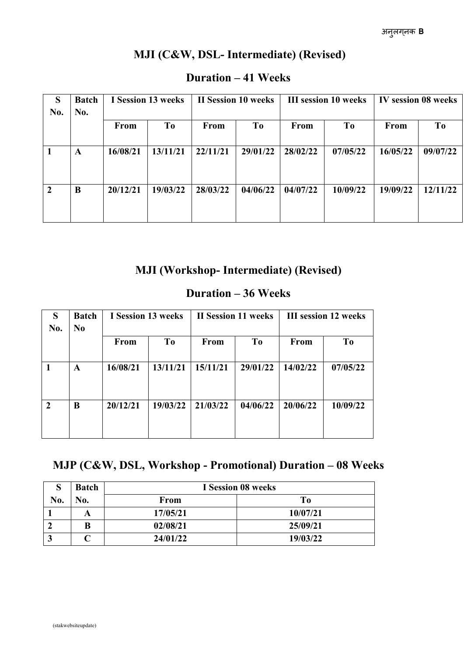#### **MJI (C&W, DSL- Intermediate) (Revised)**

| S<br>No.       | <b>Batch</b><br>No. | I Session 13 weeks |                | <b>II Session 10 weeks</b> |                | <b>III</b> session 10 weeks |                | IV session 08 weeks |                |
|----------------|---------------------|--------------------|----------------|----------------------------|----------------|-----------------------------|----------------|---------------------|----------------|
|                |                     | From               | T <sub>0</sub> | <b>From</b>                | T <sub>o</sub> | <b>From</b>                 | T <sub>0</sub> | <b>From</b>         | T <sub>0</sub> |
|                | A                   | 16/08/21           | 13/11/21       | 22/11/21                   | 29/01/22       | 28/02/22                    | 07/05/22       | 16/05/22            | 09/07/22       |
| $\overline{2}$ | B                   | 20/12/21           | 19/03/22       | 28/03/22                   | 04/06/22       | 04/07/22                    | 10/09/22       | 19/09/22            | 12/11/22       |

#### **Duration – 41 Weeks**

#### **MJI (Workshop- Intermediate) (Revised)**

#### **Duration – 36 Weeks**

| S<br>No. | <b>Batch</b><br>N <sub>0</sub> |          | I Session 13 weeks |             | II Session 11 weeks |             | <b>III</b> session 12 weeks |  |  |
|----------|--------------------------------|----------|--------------------|-------------|---------------------|-------------|-----------------------------|--|--|
|          |                                | From     | T <sub>0</sub>     | <b>From</b> | <b>To</b>           | <b>From</b> | T <sub>0</sub>              |  |  |
|          | A                              | 16/08/21 | 13/11/21           | 15/11/21    | 29/01/22            | 14/02/22    | 07/05/22                    |  |  |
| 2        | B                              | 20/12/21 | 19/03/22           | 21/03/22    | 04/06/22            | 20/06/22    | 10/09/22                    |  |  |

#### **MJP (C&W, DSL, Workshop - Promotional) Duration – 08 Weeks**

| O   | <b>Batch</b>     |             | <b>I</b> Session 08 weeks |
|-----|------------------|-------------|---------------------------|
| No. | $\mathbf{N_0}$ . | <b>From</b> | To                        |
|     |                  | 17/05/21    | 10/07/21                  |
|     |                  | 02/08/21    | 25/09/21                  |
|     |                  | 24/01/22    | 19/03/22                  |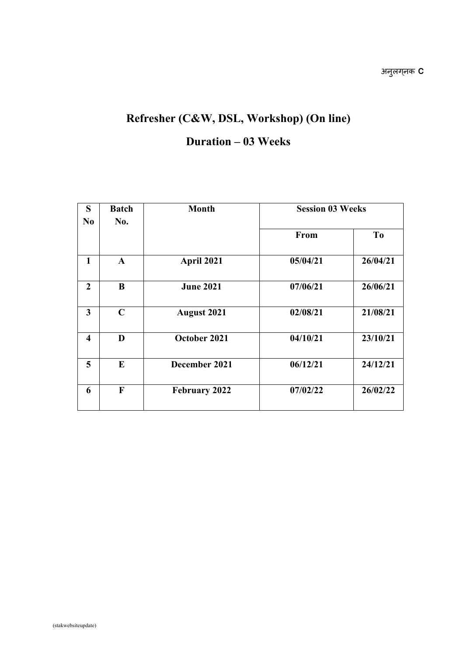# **Refresher (C&W, DSL, Workshop) (On line)**

#### **Duration – 03 Weeks**

| S<br>N <sub>0</sub>     | <b>Batch</b> | <b>Month</b>       | <b>Session 03 Weeks</b> |          |  |
|-------------------------|--------------|--------------------|-------------------------|----------|--|
|                         | No.          |                    | From                    | To       |  |
| 1                       | $\mathbf{A}$ | April 2021         | 05/04/21                | 26/04/21 |  |
| $\overline{2}$          | $\bf{B}$     | <b>June 2021</b>   | 07/06/21                | 26/06/21 |  |
| 3                       | $\mathbf C$  | <b>August 2021</b> | 02/08/21                | 21/08/21 |  |
| $\overline{\mathbf{4}}$ | D            | October 2021       | 04/10/21                | 23/10/21 |  |
| 5                       | $\bf{E}$     | December 2021      | 06/12/21                | 24/12/21 |  |
| 6                       | $\mathbf F$  | February 2022      | 07/02/22                | 26/02/22 |  |
|                         |              |                    |                         |          |  |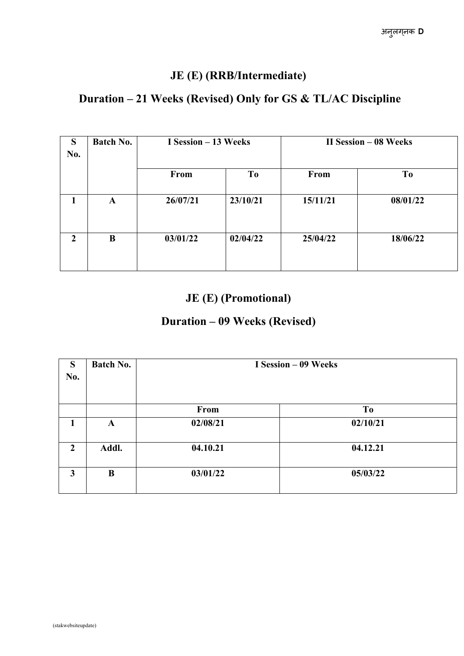### **JE (E) (RRB/Intermediate)**

#### **Duration – 21 Weeks (Revised) Only for GS & TL/AC Discipline**

| S<br>No.       | <b>Batch No.</b> | I Session – 13 Weeks |                |          | <b>II Session – 08 Weeks</b> |
|----------------|------------------|----------------------|----------------|----------|------------------------------|
|                |                  | From                 | T <sub>0</sub> | From     | T <sub>0</sub>               |
|                | $\mathbf A$      | 26/07/21             | 23/10/21       | 15/11/21 | 08/01/22                     |
| $\overline{2}$ | B                | 03/01/22             | 02/04/22       | 25/04/22 | 18/06/22                     |

### **JE (E) (Promotional)**

### **Duration – 09 Weeks (Revised)**

| S<br>No.       | <b>Batch No.</b> |          | I Session - 09 Weeks |
|----------------|------------------|----------|----------------------|
|                |                  | From     | T <sub>0</sub>       |
| 1              | $\mathbf A$      | 02/08/21 | 02/10/21             |
| $\overline{2}$ | Addl.            | 04.10.21 | 04.12.21             |
| 3              | $\bf{B}$         | 03/01/22 | 05/03/22             |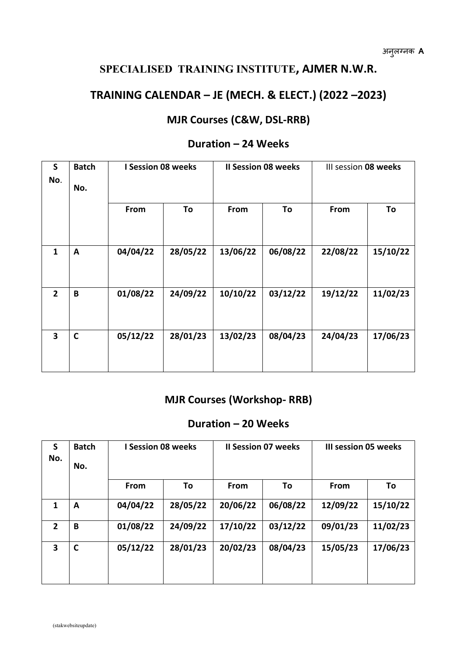#### **SPECIALISED TRAINING INSTITUTE, AJMER N.W.R.**

#### **TRAINING CALENDAR – JE (MECH.& ELECT.) (2022 –2023)**

#### **MJR Courses (C&W, DSL-RRB)**

| $\mathsf{S}$<br>No.     | <b>Batch</b><br>No. | <b>I Session 08 weeks</b> |          |          | <b>Il Session 08 weeks</b> | III session 08 weeks |          |
|-------------------------|---------------------|---------------------------|----------|----------|----------------------------|----------------------|----------|
|                         |                     | From                      | To       | From     | To                         | From                 | To       |
| $\mathbf{1}$            | $\mathbf{A}$        | 04/04/22                  | 28/05/22 | 13/06/22 | 06/08/22                   | 22/08/22             | 15/10/22 |
| $\overline{2}$          | $\pmb B$            | 01/08/22                  | 24/09/22 | 10/10/22 | 03/12/22                   | 19/12/22             | 11/02/23 |
| $\overline{\mathbf{3}}$ | $\mathbf C$         | 05/12/22                  | 28/01/23 | 13/02/23 | 08/04/23                   | 24/04/23             | 17/06/23 |

#### **Duration –24 Weeks**

#### **MJR Courses (Workshop- RRB)**

#### **Duration –20 Weeks**

| S<br>No.                | <b>Batch</b><br>No. | <b>I Session 08 weeks</b> |          |          | <b>Il Session 07 weeks</b> |          | <b>III session 05 weeks</b> |  |  |
|-------------------------|---------------------|---------------------------|----------|----------|----------------------------|----------|-----------------------------|--|--|
|                         |                     | From                      | To       | From     | To                         | From     | To                          |  |  |
| 1                       | A                   | 04/04/22                  | 28/05/22 | 20/06/22 | 06/08/22                   | 12/09/22 | 15/10/22                    |  |  |
| $\mathbf{2}$            | B                   | 01/08/22                  | 24/09/22 | 17/10/22 | 03/12/22                   | 09/01/23 | 11/02/23                    |  |  |
| $\overline{\mathbf{3}}$ | $\mathbf c$         | 05/12/22                  | 28/01/23 | 20/02/23 | 08/04/23                   | 15/05/23 | 17/06/23                    |  |  |
|                         |                     |                           |          |          |                            |          |                             |  |  |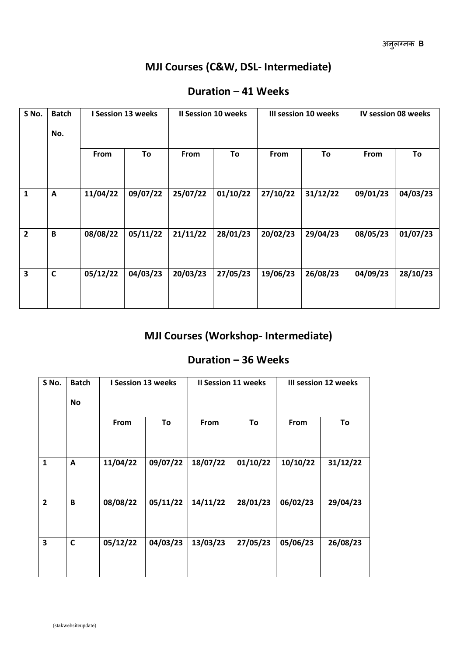### **MJI Courses (C&W, DSL- Intermediate)**

| S No.                   | <b>Batch</b><br>No. | I Session 13 weeks |          | <b>Il Session 10 weeks</b> |          | III session 10 weeks |          |          | <b>IV session 08 weeks</b> |  |
|-------------------------|---------------------|--------------------|----------|----------------------------|----------|----------------------|----------|----------|----------------------------|--|
|                         |                     | From               | To       | From                       | To       | From                 | To       | From     | To                         |  |
| $\mathbf{1}$            | $\mathbf{A}$        | 11/04/22           | 09/07/22 | 25/07/22                   | 01/10/22 | 27/10/22             | 31/12/22 | 09/01/23 | 04/03/23                   |  |
| $\overline{2}$          | B                   | 08/08/22           | 05/11/22 | 21/11/22                   | 28/01/23 | 20/02/23             | 29/04/23 | 08/05/23 | 01/07/23                   |  |
| $\overline{\mathbf{3}}$ | $\mathbf c$         | 05/12/22           | 04/03/23 | 20/03/23                   | 27/05/23 | 19/06/23             | 26/08/23 | 04/09/23 | 28/10/23                   |  |
|                         |                     |                    |          |                            |          |                      |          |          |                            |  |

#### **Duration –41 Weeks**

#### **MJI Courses (Workshop- Intermediate)**

#### **Duration –36 Weeks**

| S No.          | <b>Batch</b><br><b>No</b> | I Session 13 weeks |          | <b>Il Session 11 weeks</b> |          | III session 12 weeks |          |
|----------------|---------------------------|--------------------|----------|----------------------------|----------|----------------------|----------|
|                |                           | From               | To       | From                       | To       | From                 | To       |
| $\mathbf{1}$   | A                         | 11/04/22           | 09/07/22 | 18/07/22                   | 01/10/22 | 10/10/22             | 31/12/22 |
| $\overline{2}$ | $\pmb B$                  | 08/08/22           | 05/11/22 | 14/11/22                   | 28/01/23 | 06/02/23             | 29/04/23 |
| 3              | $\mathbf c$               | 05/12/22           | 04/03/23 | 13/03/23                   | 27/05/23 | 05/06/23             | 26/08/23 |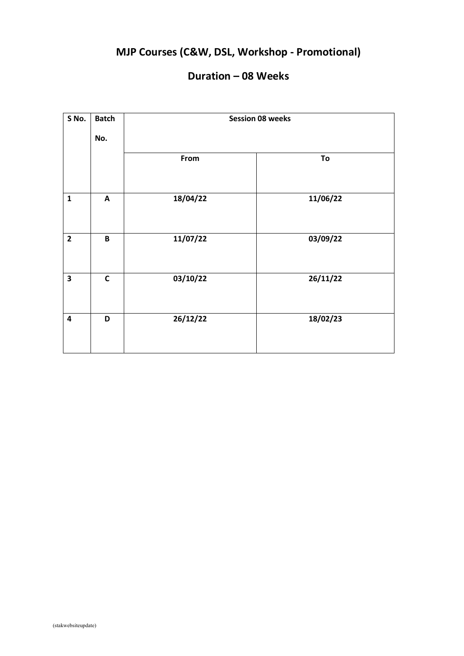# **MJP Courses (C&W, DSL, Workshop - Promotional)**

#### **Duration –08 Weeks**

| S No.                   | <b>Batch</b>              |          | <b>Session 08 weeks</b> |
|-------------------------|---------------------------|----------|-------------------------|
|                         | No.                       |          |                         |
|                         |                           | From     | To                      |
| $\mathbf{1}$            | $\boldsymbol{\mathsf{A}}$ | 18/04/22 | 11/06/22                |
| $\overline{2}$          | $\pmb B$                  | 11/07/22 | 03/09/22                |
| $\overline{\mathbf{3}}$ | $\mathbf c$               | 03/10/22 | 26/11/22                |
| $\overline{\mathbf{4}}$ | D                         | 26/12/22 | 18/02/23                |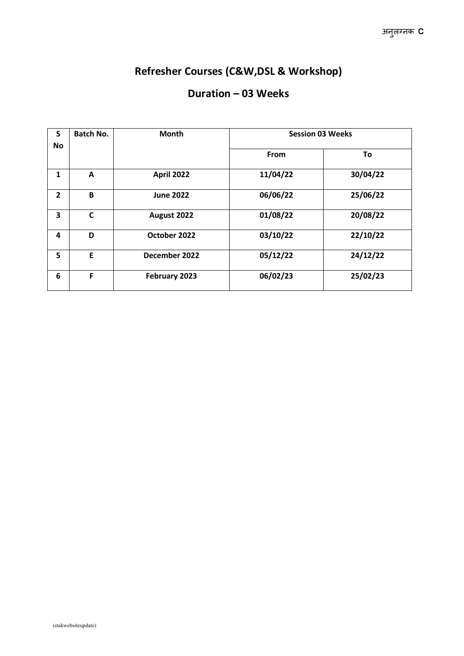### **Refresher Courses (C&W,DSL & Workshop)**

#### **Duration –03 Weeks**

| S              | <b>Batch No.</b><br>Month |                   | <b>Session 03 Weeks</b> |          |  |
|----------------|---------------------------|-------------------|-------------------------|----------|--|
| No             |                           |                   |                         |          |  |
|                |                           |                   | From                    | To       |  |
| 1              | A                         | <b>April 2022</b> | 11/04/22                | 30/04/22 |  |
| $\overline{2}$ | B                         | <b>June 2022</b>  | 06/06/22                | 25/06/22 |  |
| 3              | C                         | August 2022       | 01/08/22                | 20/08/22 |  |
| 4              | D                         | October 2022      | 03/10/22                | 22/10/22 |  |
| 5              | E                         | December 2022     | 05/12/22                | 24/12/22 |  |
| 6              | F                         | February 2023     | 06/02/23                | 25/02/23 |  |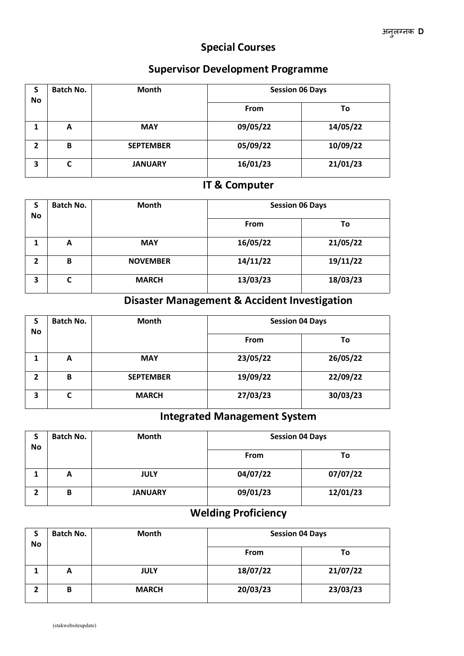#### **Special Courses**

#### **Supervisor Development Programme**

| э | <b>Batch No.</b> | <b>Month</b>     | <b>Session 06 Days</b> |          |
|---|------------------|------------------|------------------------|----------|
|   | No               |                  | <b>From</b>            | To       |
|   | A                | <b>MAY</b>       | 09/05/22               | 14/05/22 |
| 2 | B                | <b>SEPTEMBER</b> | 05/09/22               | 10/09/22 |
| 3 | r<br>⊾           | <b>JANUARY</b>   | 16/01/23               | 21/01/23 |

#### **IT & Computer**

| э<br>No | <b>Batch No.</b> | <b>Month</b>    | <b>Session 06 Days</b> |          |  |
|---------|------------------|-----------------|------------------------|----------|--|
|         |                  |                 | <b>From</b>            | To       |  |
|         | A                | <b>MAY</b>      | 16/05/22               | 21/05/22 |  |
| າ       | B                | <b>NOVEMBER</b> | 14/11/22               | 19/11/22 |  |
| 3       | С                | <b>MARCH</b>    | 13/03/23               | 18/03/23 |  |

### **Disaster Management & Accident Investigation**

| э              | <b>Batch No.</b> | Month            | <b>Session 04 Days</b> |          |
|----------------|------------------|------------------|------------------------|----------|
| No             |                  |                  | <b>From</b>            | To       |
|                | А                | <b>MAY</b>       | 23/05/22               | 26/05/22 |
| $\overline{2}$ | B                | <b>SEPTEMBER</b> | 19/09/22               | 22/09/22 |
| 3              | C                | <b>MARCH</b>     | 27/03/23               | 30/03/23 |

#### **Integrated Management System**

| e  | <b>Batch No.</b> | <b>Month</b>   | <b>Session 04 Days</b> |          |
|----|------------------|----------------|------------------------|----------|
| No |                  |                | <b>From</b>            | Τo       |
|    | A                | <b>JULY</b>    | 04/07/22               | 07/07/22 |
|    | В                | <b>JANUARY</b> | 09/01/23               | 12/01/23 |

### **Welding Proficiency**

| a  | <b>Batch No.</b> | Month        | <b>Session 04 Days</b> |          |
|----|------------------|--------------|------------------------|----------|
| No |                  |              | <b>From</b>            | Τo       |
|    | A                | <b>JULY</b>  | 18/07/22               | 21/07/22 |
|    | в                | <b>MARCH</b> | 20/03/23               | 23/03/23 |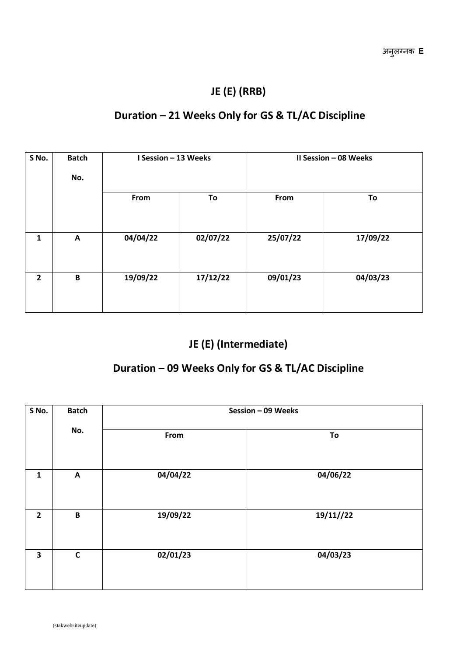#### **JE (E) (RRB)**

#### **Duration – 21 Weeks Only for GS & TL/AC Discipline**

| S No. | <b>Batch</b><br>No. | I Session - 13 Weeks |          |          | II Session - 08 Weeks |
|-------|---------------------|----------------------|----------|----------|-----------------------|
|       |                     | From                 | To       | From     | To                    |
| 1     | A                   | 04/04/22             | 02/07/22 | 25/07/22 | 17/09/22              |
| 2     | $\, {\bf B}$        | 19/09/22             | 17/12/22 | 09/01/23 | 04/03/23              |
|       |                     |                      |          |          |                       |

#### **JE (E) (Intermediate)**

#### **Duration –09 Weeks Only for GS & TL/AC Discipline**

| S No.          | <b>Batch</b> |          | Session - 09 Weeks |
|----------------|--------------|----------|--------------------|
|                | No.          | From     | To                 |
| $\mathbf{1}$   | $\mathbf{A}$ | 04/04/22 | 04/06/22           |
| $\overline{2}$ | B            | 19/09/22 | 19/11//22          |
| 3              | $\mathsf{C}$ | 02/01/23 | 04/03/23           |
|                |              |          |                    |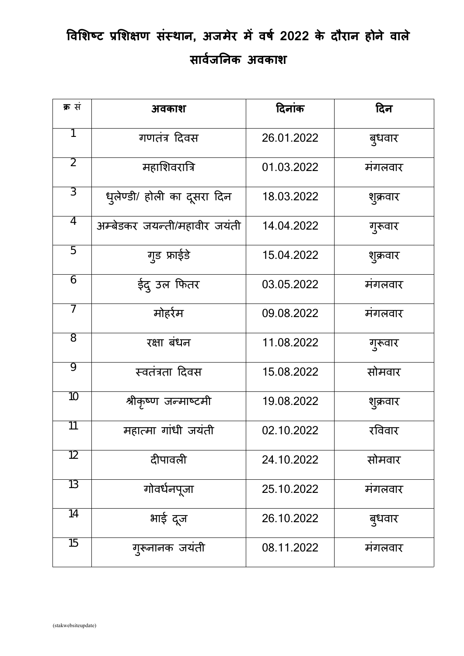# **विशिष पशिशि संसथन, अजमेर मेिर् 2022 के दौरथन होने िथले सथिज् जनक अिकथि**

| क्र सं          | अवकाश                        | दिनांक     | दिन      |
|-----------------|------------------------------|------------|----------|
| 1               | गणतंत्र दिवस                 | 26.01.2022 | बुधवार   |
| $\overline{2}$  | महाशिवरात्रि                 | 01.03.2022 | मंगलवार  |
| $\overline{3}$  | धृलेण्डी/ होली का दूसरा दिन  | 18.03.2022 | शुक्रवार |
| $\overline{4}$  | अम्बेडकर जयन्ती/महावीर जयंती | 14.04.2022 | गुरूवार  |
| $\overline{5}$  | ग्ड फ्राईडे                  | 15.04.2022 | शुक्रवार |
| 6               | ईदु उल फितर                  | 03.05.2022 | मंगलवार  |
| $\overline{7}$  | मोहर्रम                      | 09.08.2022 | मंगलवार  |
| $\overline{8}$  | रक्षा बंधन                   | 11.08.2022 | गुरूवार  |
| $\overline{Q}$  | स्वतंत्रता दिवस              | 15.08.2022 | सोमवार   |
| 10              | श्रीकृष्ण जन्माष्टमी         | 19.08.2022 | शुक्रवार |
| $\overline{11}$ | महात्मा गांधी जयंती          | 02.10.2022 | रविवार   |
| $\overline{12}$ | दीपावली                      | 24.10.2022 | सोमवार   |
| $\overline{13}$ | गोवर्धनपूजा                  | 25.10.2022 | मंगलवार  |
| 14              | भाई दूज                      | 26.10.2022 | बुधवार   |
| $\overline{15}$ | गुरूनानक जयंती               | 08.11.2022 | मंगलवार  |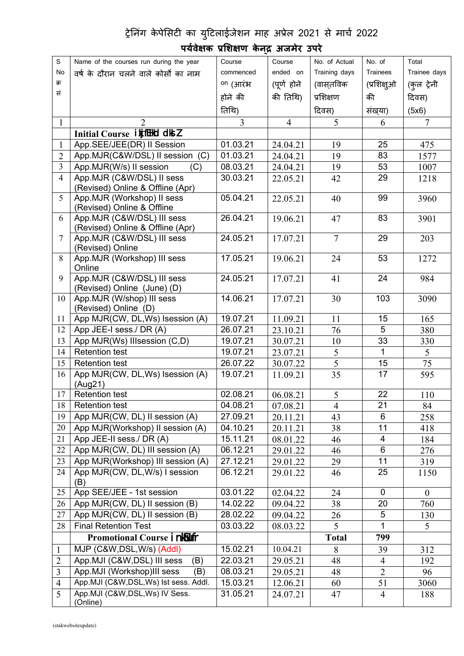#### ट्रेनिंग केपेसिटी का युटिलाईजेशन माह अप्रेल 2021 से मार्च 2022

#### S Name of the courses run during the year No | वर्ष के दौरान चलने क्रम क्रिकेट के बाद प्रकाश कर जाता है। अपने प्रकाश के बाद प्रकाश कर जाता है। अपने प्रकाश के बाद प्रकाश कर जाता  $R = \frac{R}{R}$  Name of the courses run during the year<br>
No  $\frac{R}{R}$  and  $\frac{R}{R}$  and  $\frac{R}{R}$  and  $\frac{R}{R}$  and  $\frac{R}{R}$  and  $\frac{R}{R}$  and  $\frac{R}{R}$  and  $\frac{R}{R}$  and  $\frac{R}{R}$  and  $\frac{R}{R}$  and  $\frac{R}{R}$  and  $\frac{R}{R}$  a Course Course commenced ended on on (आरंभ (पूण् होने (वासत् ववक होने की रतथि) Course | No. of Actual | No. o ended on | Training days | Trainees | Tra की रतथि) पशिकण दिवस) No. of Trainees Trainee days (प्रशिक्षुओ | (कुल ट्रेनी | की संखया) Total दिवस) (5x6)  $1 | 2 | 3 | 4 | 5 | 6 | 7 |$ **Initial Course i kj fEHd dks Z**<br>App. SEE/JEE(DR) II Session 01.03.21 1 App.SEE/JEE(DR) II Session 01.03.21 24.04.21 19 25 475 2 App.MJR(C&W/DSL) II session (C) 01.03.21 24.04.21 19 83 1577 3 App.MJR(W/s) II session (C) 08.03.21 24.04.21 19 53 1007 4 | App.MJR (C&W/DSL) II sess | 30.03.21 (Revised) Online & Offline (Apr)  $30.03.21$   $22.05.21$   $42$   $29$   $1218$ 5 App.MJR (Workshop) II sess 105.04.21 (Revised) Online & Offline 05.04.21  $\begin{array}{|c|c|c|c|c|} \hline \end{array}$  22.05.21  $\begin{array}{|c|c|c|c|c|} \hline \end{array}$  40  $\begin{array}{|c|c|c|c|} \hline \end{array}$  99  $\begin{array}{|c|c|c|c|} \hline \end{array}$  3960  $\begin{array}{|c|c|c|c|} \hline \end{array}$ 6 App.MJR (C&W/DSL) IIIsess (Revised) Online & Offline (Apr) 26.04.21 | 19.06.21 | 47 | 83 | 3901 | 7 App.MJR (C&W/DSL) III sess 24.05.21 (Revised) Online 24.05.21 | 17.07.21 | 7 | 29 | 203 | 8 App.MJR (Workshop) III sess 17.05.21 Online 17.05.21 | 19.06.21 | 24 | 53 | 1272 | 9 App.MJR (C&W/DSL) III sess 24.05.21 (Revised) Online (June) (D) 24.05.21 | 17.07.21 | 41 | 24 | 984 | 10 App.MJR (W/shop) III sess (Revised) Online (D) 14.06.21 | 17.07.21 | 30 | 103 | 3090 | 11 App MJR(CW, DL,Ws) Isession (A) 19.07.21 11.09.21 11 15 165 12 App JEE-I sess./ DR (A)  $26.07.21$   $23.10.21$   $76$  5 380 13 App MJR(Ws) IIIsession (C,D) 19.07.21 30.07.21 10 33 330 14 Retention test 19.07.21 23.07.21 5 1 5<br>15 Retention test 26.07.22 30.07.22 5 15 75 15 Retention test  $26.07.22$   $30.07.22$  5 15 75 75 16 App MJR(CW, DL,Ws) Isession (A) 19.07.21 11.09.21 (Aug21) 19.07.21  $|11.09.21|$  35  $|17|$  595  $|$ 17 Retention test  $17 \mid \text{Red}(1110) \mid 02.08.21 \mid 06.08.21 \mid 5 \mid 22 \mid 110 \mid 110 \mid 110 \mid 110 \mid 110 \mid 110 \mid 110 \mid 110 \mid 110 \mid 110 \mid 110 \mid 110 \mid 110 \mid 110 \mid 110 \mid 110 \mid 110 \mid 110 \mid 110 \mid 110 \mid 110 \mid 110 \mid 110 \mid 110 \mid 110 \mid 110 \$ 18 Retention test  $18 \mid$  Retention test  $18 \mid 07.08.21 \mid 4 \mid 21 \mid 84 \mid$ 19 App MJR(CW, DL) II session (A) 27.09.21 20.11.21 43 6 258 20 App MJR(Workshop) II session (A) 04.10.21 20.11.21 38 11 418 21 App JEE-II sess./ DR (A)  $15.11.21 \t 08.01.22 \t 46 \t 4 \t 184$ 22 App MJR(CW, DL) III session (A) 06.12.21 29.01.22 46 6 276 23 App MJR(Workshop) III session (A) 27.12.21 29.01.22 29 11 319 24 | App MJR(CW, DL,W/s) | session  $\vert$  06.12.21  $\vert$  29.01.22 (B) 06.12.21  $\big| 29.01.22 \big|$  46  $\big| 25 \big|$  1150  $\big|$ 25 App SEE/JEE - 1st session 03.01.22 02.04.22 24 0 0 0<br>26 App MJR(CW, DL) II session (B) 14.02.22 09.04.22 38 20 760 26 App MJR(CW, DL) II session (B) 14.02.22 09.04.22 38 20 760 27 App MJR(CW, DL) II session (B) 28.02.22 09.04.22 26 5 130<br>28 Final Retention Test 03.03.22 08.03.22 5 1 5 28 Final Retention Test 03.03.22 08.03.22 5 1 5 **Promotional Course** in  $\sqrt{3}$  if  $\sqrt{3}$ 1 | MJP (C&W,DSL,W/s) (Addl) 15.02.21 | 10.04.21 | 8 | 39 | 312 2 App. MJI (C&W, DSL) III sess (B) 22.03.21 29.05.21 48 4 192 3 App. MJI (Workshop)III sess (B) 08.03.21 29.05.21 48 2 96 4 App.MJI (C&W,DSL,Ws) Ist sess. Addl.  $\begin{array}{|c|c|c|c|c|c|c|c|c|}\n\hline\n12.06.21 & 60 & 51 & 3060\n\end{array}$ 5 App.MJI (C&W,DSL,Ws) IV Sess. 31.05.21<br>(Online)  $24.07.21$  47 4 188

#### **परि् ेशक पशिशि केनद् अजमेर उपरे**